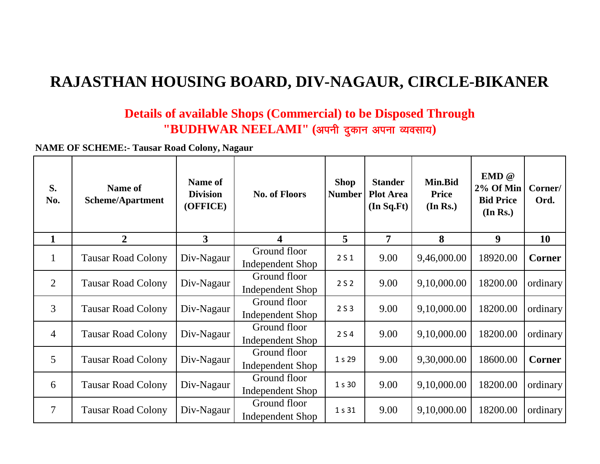## **RAJASTHAN HOUSING BOARD, DIV-NAGAUR, CIRCLE-BIKANER**

## **Details of available Shops (Commercial) to be Disposed Through**   $"BUDHWAR NEELAMI"$  (अपनी दुकान अपना व्यवसाय)

**NAME OF SCHEME:- Tausar Road Colony, Nagaur**

| S.<br>No.      | <b>Name of</b><br><b>Scheme/Apartment</b> | <b>Name of</b><br><b>Division</b><br>(OFFICE) | <b>No. of Floors</b>                    | <b>Shop</b><br><b>Number</b> | <b>Stander</b><br><b>Plot Area</b><br>(In Sq.Ft) | Min.Bid<br>Price<br>(In Rs.) | EMD @<br>$2\%$ Of Min<br><b>Bid Price</b><br>(In Rs.) | Corner/<br>Ord. |
|----------------|-------------------------------------------|-----------------------------------------------|-----------------------------------------|------------------------------|--------------------------------------------------|------------------------------|-------------------------------------------------------|-----------------|
| $\mathbf{1}$   | $\overline{2}$                            | 3                                             | 4                                       | $\overline{5}$               | $\overline{7}$                                   | 8                            | 9                                                     | 10              |
| $\mathbf{1}$   | <b>Tausar Road Colony</b>                 | Div-Nagaur                                    | Ground floor<br><b>Independent Shop</b> | 2S1                          | 9.00                                             | 9,46,000.00                  | 18920.00                                              | <b>Corner</b>   |
| 2              | <b>Tausar Road Colony</b>                 | Div-Nagaur                                    | Ground floor<br><b>Independent Shop</b> | 2S <sub>2</sub>              | 9.00                                             | 9,10,000.00                  | 18200.00                                              | ordinary        |
| 3              | <b>Tausar Road Colony</b>                 | Div-Nagaur                                    | Ground floor<br><b>Independent Shop</b> | 2S3                          | 9.00                                             | 9,10,000.00                  | 18200.00                                              | ordinary        |
| $\overline{4}$ | <b>Tausar Road Colony</b>                 | Div-Nagaur                                    | Ground floor<br><b>Independent Shop</b> | 2S4                          | 9.00                                             | 9,10,000.00                  | 18200.00                                              | ordinary        |
| 5              | <b>Tausar Road Colony</b>                 | Div-Nagaur                                    | Ground floor<br><b>Independent Shop</b> | 1 s 29                       | 9.00                                             | 9,30,000.00                  | 18600.00                                              | Corner          |
| 6              | <b>Tausar Road Colony</b>                 | Div-Nagaur                                    | Ground floor<br><b>Independent Shop</b> | 1 s 30                       | 9.00                                             | 9,10,000.00                  | 18200.00                                              | ordinary        |
| $\overline{7}$ | <b>Tausar Road Colony</b>                 | Div-Nagaur                                    | Ground floor<br>Independent Shop        | 1 s 31                       | 9.00                                             | 9,10,000.00                  | 18200.00                                              | ordinary        |